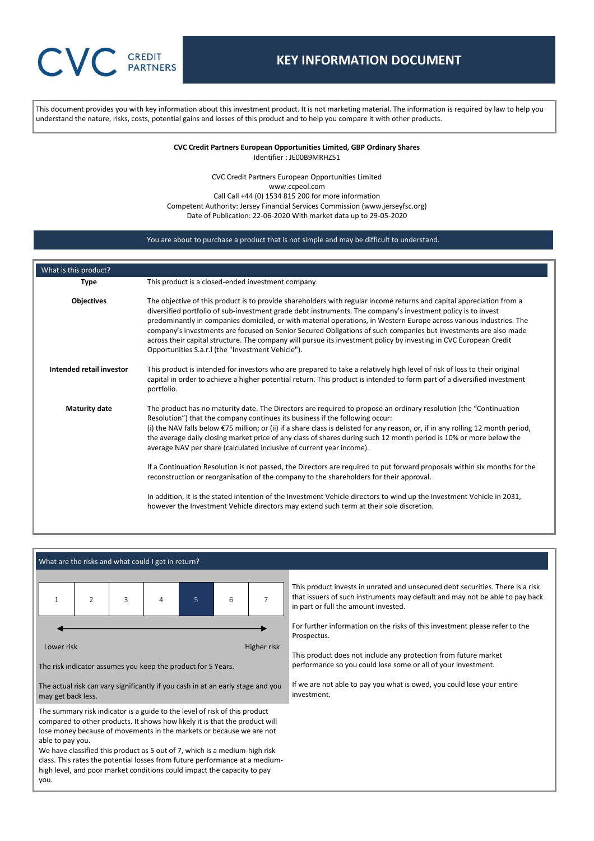# **CREDIT PARTNERS**

## **KEY INFORMATION DOCUMENT**

This document provides you with key information about this investment product. It is not marketing material. The information is required by law to help you understand the nature, risks, costs, potential gains and losses of this product and to help you compare it with other products.

> **CVC Credit Partners European Opportunities Limited, GBP Ordinary Shares** Identifier : JE00B9MRHZ51

CVC Credit Partners European Opportunities Limited www.ccpeol.com Call Call +44 (0) 1534 815 200 for more information Competent Authority: Jersey Financial Services Commission (www.jerseyfsc.org) Date of Publication: 22-06-2020 With market data up to 29-05-2020

## You are about to purchase a product that is not simple and may be difficult to understand.

| What is this product?    |                                                                                                                                                                                                                                                                                                                                                                                                                                                                                                                                                                                                                                                                                                                                                                                                                                                                                                                                                                                             |
|--------------------------|---------------------------------------------------------------------------------------------------------------------------------------------------------------------------------------------------------------------------------------------------------------------------------------------------------------------------------------------------------------------------------------------------------------------------------------------------------------------------------------------------------------------------------------------------------------------------------------------------------------------------------------------------------------------------------------------------------------------------------------------------------------------------------------------------------------------------------------------------------------------------------------------------------------------------------------------------------------------------------------------|
| <b>Type</b>              | This product is a closed-ended investment company.                                                                                                                                                                                                                                                                                                                                                                                                                                                                                                                                                                                                                                                                                                                                                                                                                                                                                                                                          |
| <b>Objectives</b>        | The objective of this product is to provide shareholders with regular income returns and capital appreciation from a<br>diversified portfolio of sub-investment grade debt instruments. The company's investment policy is to invest<br>predominantly in companies domiciled, or with material operations, in Western Europe across various industries. The<br>company's investments are focused on Senior Secured Obligations of such companies but investments are also made<br>across their capital structure. The company will pursue its investment policy by investing in CVC European Credit<br>Opportunities S.a.r. I (the "Investment Vehicle").                                                                                                                                                                                                                                                                                                                                   |
| Intended retail investor | This product is intended for investors who are prepared to take a relatively high level of risk of loss to their original<br>capital in order to achieve a higher potential return. This product is intended to form part of a diversified investment<br>portfolio.                                                                                                                                                                                                                                                                                                                                                                                                                                                                                                                                                                                                                                                                                                                         |
| <b>Maturity date</b>     | The product has no maturity date. The Directors are required to propose an ordinary resolution (the "Continuation"<br>Resolution") that the company continues its business if the following occur:<br>(i) the NAV falls below $\epsilon$ 75 million; or (ii) if a share class is delisted for any reason, or, if in any rolling 12 month period,<br>the average daily closing market price of any class of shares during such 12 month period is 10% or more below the<br>average NAV per share (calculated inclusive of current year income).<br>If a Continuation Resolution is not passed, the Directors are required to put forward proposals within six months for the<br>reconstruction or reorganisation of the company to the shareholders for their approval.<br>In addition, it is the stated intention of the Investment Vehicle directors to wind up the Investment Vehicle in 2031,<br>however the Investment Vehicle directors may extend such term at their sole discretion. |

## What are the risks and what could I get in return?



The risk indicator assumes you keep the product for 5 Years.

The actual risk can vary significantly if you cash in at an early stage and you may get back less.

The summary risk indicator is a guide to the level of risk of this product compared to other products. It shows how likely it is that the product will lose money because of movements in the markets or because we are not able to pay you.

We have classified this product as 5 out of 7, which is a medium-high risk class. This rates the potential losses from future performance at a mediumhigh level, and poor market conditions could impact the capacity to pay you.

This product invests in unrated and unsecured debt securities. There is a risk that issuers of such instruments may default and may not be able to pay back in part or full the amount invested.

For further information on the risks of this investment please refer to the Prospectus.

This product does not include any protection from future market performance so you could lose some or all of your investment.

If we are not able to pay you what is owed, you could lose your entire investment.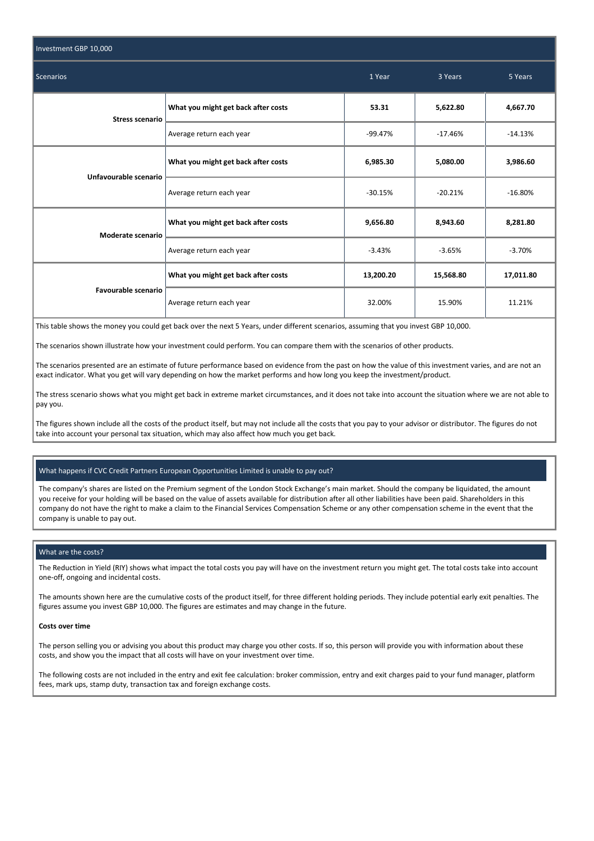| Investment GBP 10,000  |                                     |           |           |           |
|------------------------|-------------------------------------|-----------|-----------|-----------|
| Scenarios              | 1 Year                              | 3 Years   | 5 Years   |           |
| <b>Stress scenario</b> | What you might get back after costs | 53.31     | 5,622.80  | 4,667.70  |
|                        | Average return each year            | $-99.47%$ | $-17.46%$ | $-14.13%$ |
| Unfavourable scenario  | What you might get back after costs | 6,985.30  | 5,080.00  | 3,986.60  |
|                        | Average return each year            | $-30.15%$ | $-20.21%$ | $-16.80%$ |
| Moderate scenario      | What you might get back after costs | 9,656.80  | 8,943.60  | 8,281.80  |
|                        | Average return each year            | $-3.43%$  | $-3.65%$  | $-3.70%$  |
| Favourable scenario    | What you might get back after costs | 13,200.20 | 15,568.80 | 17,011.80 |
|                        | Average return each year            | 32.00%    | 15.90%    | 11.21%    |

This table shows the money you could get back over the next 5 Years, under different scenarios, assuming that you invest GBP 10,000.

The scenarios shown illustrate how your investment could perform. You can compare them with the scenarios of other products.

The scenarios presented are an estimate of future performance based on evidence from the past on how the value of this investment varies, and are not an exact indicator. What you get will vary depending on how the market performs and how long you keep the investment/product.

The stress scenario shows what you might get back in extreme market circumstances, and it does not take into account the situation where we are not able to pay you.

The figures shown include all the costs of the product itself, but may not include all the costs that you pay to your advisor or distributor. The figures do not take into account your personal tax situation, which may also affect how much you get back.

## What happens if CVC Credit Partners European Opportunities Limited is unable to pay out?

The company's shares are listed on the Premium segment of the London Stock Exchange's main market. Should the company be liquidated, the amount you receive for your holding will be based on the value of assets available for distribution after all other liabilities have been paid. Shareholders in this company do not have the right to make a claim to the Financial Services Compensation Scheme or any other compensation scheme in the event that the company is unable to pay out.

## What are the costs?

The Reduction in Yield (RIY) shows what impact the total costs you pay will have on the investment return you might get. The total costs take into account one-off, ongoing and incidental costs.

The amounts shown here are the cumulative costs of the product itself, for three different holding periods. They include potential early exit penalties. The figures assume you invest GBP 10,000. The figures are estimates and may change in the future.

#### **Costs over time**

The person selling you or advising you about this product may charge you other costs. If so, this person will provide you with information about these costs, and show you the impact that all costs will have on your investment over time.

The following costs are not included in the entry and exit fee calculation: broker commission, entry and exit charges paid to your fund manager, platform fees, mark ups, stamp duty, transaction tax and foreign exchange costs.